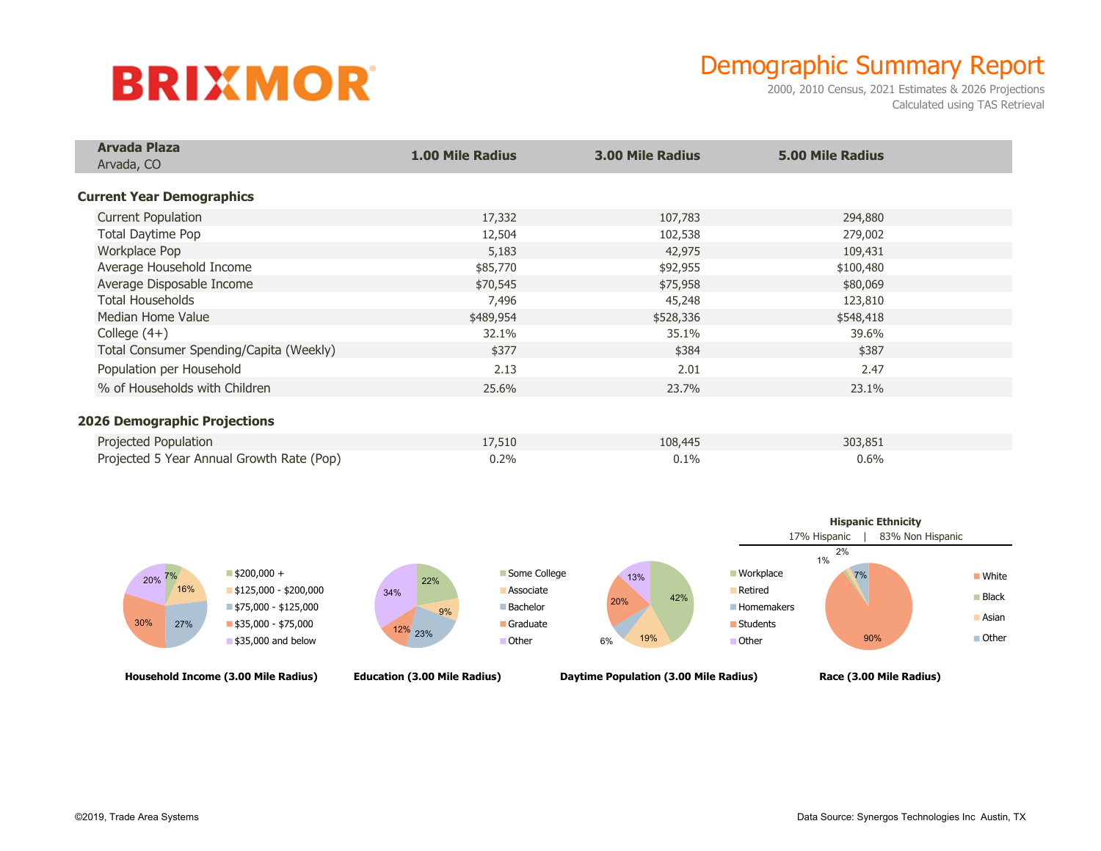## **BRIXMOR**

## Demographic Summary Report

2000, 2010 Census, 2021 Estimates & 2026 Projections Calculated using TAS Retrieval

| <b>Arvada Plaza</b><br>Arvada, CO         | <b>1.00 Mile Radius</b> | <b>3.00 Mile Radius</b> | <b>5.00 Mile Radius</b> |  |
|-------------------------------------------|-------------------------|-------------------------|-------------------------|--|
|                                           |                         |                         |                         |  |
|                                           |                         |                         |                         |  |
| <b>Current Year Demographics</b>          |                         |                         |                         |  |
| <b>Current Population</b>                 | 17,332                  | 107,783                 | 294,880                 |  |
| Total Daytime Pop                         | 12,504                  | 102,538                 | 279,002                 |  |
| Workplace Pop                             | 5,183                   | 42,975                  | 109,431                 |  |
| Average Household Income                  | \$85,770                | \$92,955                | \$100,480               |  |
| Average Disposable Income                 | \$70,545                | \$75,958                | \$80,069                |  |
| <b>Total Households</b>                   | 7,496                   | 45,248                  | 123,810                 |  |
| Median Home Value                         | \$489,954               | \$528,336               | \$548,418               |  |
| College $(4+)$                            | 32.1%                   | 35.1%                   | 39.6%                   |  |
| Total Consumer Spending/Capita (Weekly)   | \$377                   | \$384                   | \$387                   |  |
| Population per Household                  | 2.13                    | 2.01                    | 2.47                    |  |
| % of Households with Children             | 25.6%                   | 23.7%                   | 23.1%                   |  |
| <b>2026 Demographic Projections</b>       |                         |                         |                         |  |
| Projected Population                      | 17,510                  | 108,445                 | 303,851                 |  |
| Projected 5 Year Annual Growth Rate (Pop) | 0.2%                    | 0.1%                    | 0.6%                    |  |